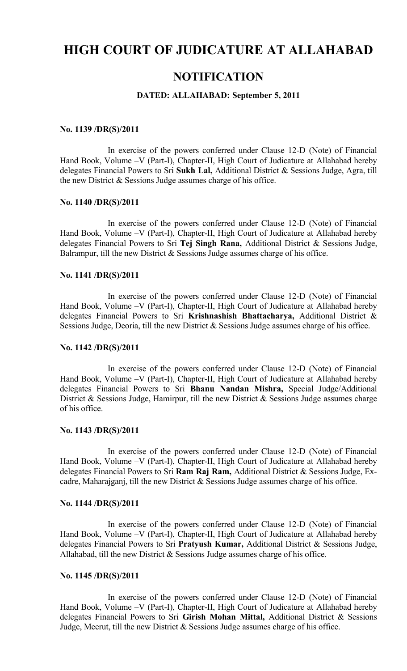# **HIGH COURT OF JUDICATURE AT ALLAHABAD**

## **NOTIFICATION**

## **DATED: ALLAHABAD: September 5, 2011**

#### **No. 1139 /DR(S)/2011**

In exercise of the powers conferred under Clause 12-D (Note) of Financial Hand Book, Volume –V (Part-I), Chapter-II, High Court of Judicature at Allahabad hereby delegates Financial Powers to Sri **Sukh Lal,** Additional District & Sessions Judge, Agra, till the new District & Sessions Judge assumes charge of his office.

## **No. 1140 /DR(S)/2011**

In exercise of the powers conferred under Clause 12-D (Note) of Financial Hand Book, Volume –V (Part-I), Chapter-II, High Court of Judicature at Allahabad hereby delegates Financial Powers to Sri **Tej Singh Rana,** Additional District & Sessions Judge, Balrampur, till the new District  $&$  Sessions Judge assumes charge of his office.

#### **No. 1141 /DR(S)/2011**

In exercise of the powers conferred under Clause 12-D (Note) of Financial Hand Book, Volume –V (Part-I), Chapter-II, High Court of Judicature at Allahabad hereby delegates Financial Powers to Sri **Krishnashish Bhattacharya,** Additional District & Sessions Judge, Deoria, till the new District & Sessions Judge assumes charge of his office.

## **No. 1142 /DR(S)/2011**

In exercise of the powers conferred under Clause 12-D (Note) of Financial Hand Book, Volume –V (Part-I), Chapter-II, High Court of Judicature at Allahabad hereby delegates Financial Powers to Sri **Bhanu Nandan Mishra,** Special Judge/Additional District & Sessions Judge, Hamirpur, till the new District & Sessions Judge assumes charge of his office.

## **No. 1143 /DR(S)/2011**

In exercise of the powers conferred under Clause 12-D (Note) of Financial Hand Book, Volume –V (Part-I), Chapter-II, High Court of Judicature at Allahabad hereby delegates Financial Powers to Sri **Ram Raj Ram,** Additional District & Sessions Judge, Excadre, Maharajganj, till the new District & Sessions Judge assumes charge of his office.

#### **No. 1144 /DR(S)/2011**

In exercise of the powers conferred under Clause 12-D (Note) of Financial Hand Book, Volume –V (Part-I), Chapter-II, High Court of Judicature at Allahabad hereby delegates Financial Powers to Sri **Pratyush Kumar,** Additional District & Sessions Judge, Allahabad, till the new District  $\&$  Sessions Judge assumes charge of his office.

## **No. 1145 /DR(S)/2011**

In exercise of the powers conferred under Clause 12-D (Note) of Financial Hand Book, Volume –V (Part-I), Chapter-II, High Court of Judicature at Allahabad hereby delegates Financial Powers to Sri **Girish Mohan Mittal,** Additional District & Sessions Judge, Meerut, till the new District  $&$  Sessions Judge assumes charge of his office.